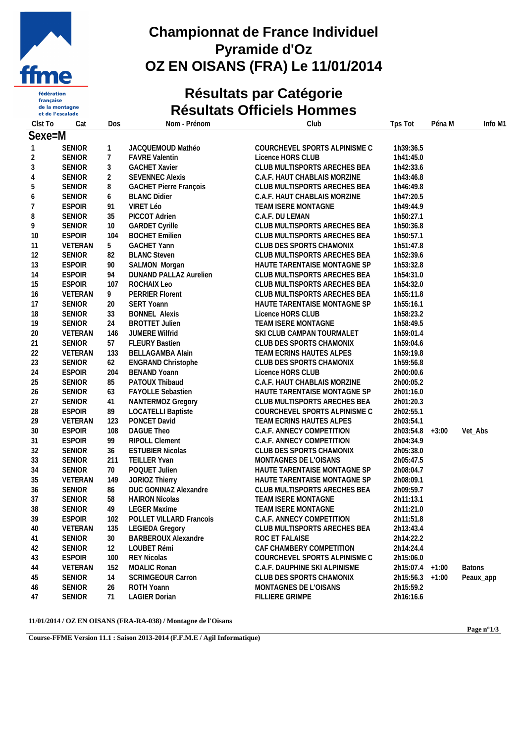

fédération  $\operatorname{\sf française}$ de la montagne et de l'escalade

#### **Championnat de France Individuel Pyramide d'Oz OZ EN OISANS (FRA) Le 11/01/2014**

### **Résultats par Catégorie Résultats Officiels Hommes**

| Clst To      | Cat           | Dos            | Nom - Prénom                   | Club                          | Tps Tot           | Péna M  | Info M1       |
|--------------|---------------|----------------|--------------------------------|-------------------------------|-------------------|---------|---------------|
| Sexe=M       |               |                |                                |                               |                   |         |               |
| $\mathbf{1}$ | <b>SENIOR</b> | $\mathbf{1}$   | JACQUEMOUD Mathéo              | COURCHEVEL SPORTS ALPINISME C | 1h39:36.5         |         |               |
| 2            | <b>SENIOR</b> | $\overline{7}$ | <b>FAVRE Valentin</b>          | Licence HORS CLUB             | 1h41:45.0         |         |               |
| 3            | <b>SENIOR</b> | $\mathfrak{Z}$ | <b>GACHET Xavier</b>           | CLUB MULTISPORTS ARECHES BEA  | 1h42:33.6         |         |               |
| 4            | <b>SENIOR</b> | $\overline{2}$ | <b>SEVENNEC Alexis</b>         | C.A.F. HAUT CHABLAIS MORZINE  | 1h43:46.8         |         |               |
| 5            | <b>SENIOR</b> | 8              | <b>GACHET Pierre François</b>  | CLUB MULTISPORTS ARECHES BEA  | 1h46:49.8         |         |               |
| 6            | <b>SENIOR</b> | 6              | <b>BLANC Didier</b>            | C.A.F. HAUT CHABLAIS MORZINE  | 1h47:20.5         |         |               |
| 7            | <b>ESPOIR</b> | 91             | VIRET Léo                      | TEAM ISERE MONTAGNE           | 1h49:44.9         |         |               |
| 8            | <b>SENIOR</b> | 35             | PICCOT Adrien                  | C.A.F. DU LEMAN               | 1h50:27.1         |         |               |
| 9            | <b>SENIOR</b> | 10             | <b>GARDET Cyrille</b>          | CLUB MULTISPORTS ARECHES BEA  | 1h50:36.8         |         |               |
| 10           | <b>ESPOIR</b> | 104            | <b>BOCHET Emilien</b>          | CLUB MULTISPORTS ARECHES BEA  | 1h50:57.1         |         |               |
| 11           | VETERAN       | 5              | <b>GACHET Yann</b>             | CLUB DES SPORTS CHAMONIX      | 1h51:47.8         |         |               |
| 12           | <b>SENIOR</b> | 82             | <b>BLANC Steven</b>            | CLUB MULTISPORTS ARECHES BEA  | 1h52:39.6         |         |               |
| 13           | <b>ESPOIR</b> | 90             | SALMON Morgan                  | HAUTE TARENTAISE MONTAGNE SP  | 1h53:32.8         |         |               |
| 14           | <b>ESPOIR</b> | 94             | DUNAND PALLAZ Aurelien         | CLUB MULTISPORTS ARECHES BEA  | 1h54:31.0         |         |               |
| 15           | <b>ESPOIR</b> | 107            | ROCHAIX Leo                    | CLUB MULTISPORTS ARECHES BEA  | 1h54:32.0         |         |               |
| 16           | VETERAN       | 9              | <b>PERRIER Florent</b>         | CLUB MULTISPORTS ARECHES BEA  | 1h55:11.8         |         |               |
| 17           | <b>SENIOR</b> | 20             | <b>SERT Yoann</b>              | HAUTE TARENTAISE MONTAGNE SP  | 1h55:16.1         |         |               |
| 18           | <b>SENIOR</b> | 33             | <b>BONNEL Alexis</b>           | Licence HORS CLUB             | 1h58:23.2         |         |               |
| 19           | <b>SENIOR</b> | 24             | <b>BROTTET Julien</b>          | TEAM ISERE MONTAGNE           | 1h58:49.5         |         |               |
| 20           | VETERAN       | 146            | JUMERE Wilfrid                 | SKI CLUB CAMPAN TOURMALET     | 1h59:01.4         |         |               |
| 21           | <b>SENIOR</b> | 57             | <b>FLEURY Bastien</b>          | CLUB DES SPORTS CHAMONIX      | 1h59:04.6         |         |               |
| 22           | VETERAN       | 133            | <b>BELLAGAMBA Alain</b>        | TEAM ECRINS HAUTES ALPES      | 1h59:19.8         |         |               |
| 23           | <b>SENIOR</b> | 62             | <b>ENGRAND Christophe</b>      | CLUB DES SPORTS CHAMONIX      | 1h59:56.8         |         |               |
| 24           | <b>ESPOIR</b> | 204            | <b>BENAND Yoann</b>            | Licence HORS CLUB             | 2h00:00.6         |         |               |
| 25           | <b>SENIOR</b> | 85             | PATOUX Thibaud                 | C.A.F. HAUT CHABLAIS MORZINE  | 2h00:05.2         |         |               |
| 26           | <b>SENIOR</b> | 63             | <b>FAYOLLE Sebastien</b>       | HAUTE TARENTAISE MONTAGNE SP  | 2h01:16.0         |         |               |
| 27           | <b>SENIOR</b> | 41             | NANTERMOZ Gregory              | CLUB MULTISPORTS ARECHES BEA  | 2h01:20.3         |         |               |
| 28           | <b>ESPOIR</b> | 89             | <b>LOCATELLI Baptiste</b>      | COURCHEVEL SPORTS ALPINISME C | 2h02:55.1         |         |               |
| 29           | VETERAN       | 123            | PONCET David                   | TEAM ECRINS HAUTES ALPES      | 2h03:54.1         |         |               |
| 30           | <b>ESPOIR</b> | 108            | <b>DAGUE Theo</b>              | C.A.F. ANNECY COMPETITION     | 2h03:54.8         | $+3:00$ | Vet_Abs       |
| 31           | <b>ESPOIR</b> | 99             | RIPOLL Clement                 | C.A.F. ANNECY COMPETITION     | 2h04:34.9         |         |               |
| 32           | <b>SENIOR</b> | 36             | <b>ESTUBIER Nicolas</b>        | CLUB DES SPORTS CHAMONIX      | 2h05:38.0         |         |               |
| 33           | <b>SENIOR</b> | 211            | TEILLER Yvan                   | MONTAGNES DE L'OISANS         | 2h05:47.5         |         |               |
| 34           | <b>SENIOR</b> | 70             | POQUET Julien                  | HAUTE TARENTAISE MONTAGNE SP  | 2h08:04.7         |         |               |
| 35           | VETERAN       | 149            | JORIOZ Thierry                 | HAUTE TARENTAISE MONTAGNE SP  | 2h08:09.1         |         |               |
| 36           | <b>SENIOR</b> | 86             | DUC GONINAZ Alexandre          | CLUB MULTISPORTS ARECHES BEA  | 2h09:59.7         |         |               |
| 37           | <b>SENIOR</b> | 58             | <b>HAIRON Nicolas</b>          | TEAM ISERE MONTAGNE           | 2h11:13.1         |         |               |
| 38           | <b>SENIOR</b> | 49             | <b>LEGER Maxime</b>            | <b>TEAM ISERE MONTAGNE</b>    | 2h11:21.0         |         |               |
| 39           | <b>ESPOIR</b> | 102            | <b>POLLET VILLARD Francois</b> | C.A.F. ANNECY COMPETITION     | 2h11:51.8         |         |               |
| 40           | VETERAN       | 135            | <b>LEGIEDA Gregory</b>         | CLUB MULTISPORTS ARECHES BEA  | 2h13:43.4         |         |               |
| 41           | <b>SENIOR</b> | 30             | <b>BARBEROUX Alexandre</b>     | ROC ET FALAISE                | 2h14:22.2         |         |               |
| 42           | <b>SENIOR</b> | 12             | LOUBET Rémi                    | CAF CHAMBERY COMPETITION      | 2h14:24.4         |         |               |
| 43           | <b>ESPOIR</b> | 100            | <b>REY Nicolas</b>             | COURCHEVEL SPORTS ALPINISME C | 2h15:06.0         |         |               |
| 44           | VETERAN       | 152            | <b>MOALIC Ronan</b>            | C.A.F. DAUPHINE SKI ALPINISME | 2h15:07.4 +1:00   |         | <b>Batons</b> |
| 45           | <b>SENIOR</b> | 14             | <b>SCRIMGEOUR Carron</b>       | CLUB DES SPORTS CHAMONIX      | $2h15:56.3 +1:00$ |         | Peaux_app     |
| 46           | SENIOR        | 26             | ROTH Yoann                     | MONTAGNES DE L'OISANS         | 2h15:59.2         |         |               |
| 47           | SENIOR        | 71             | <b>LAGIER Dorian</b>           | FILLIERE GRIMPE               | 2h16:16.6         |         |               |

**11/01/2014 / OZ EN OISANS (FRA-RA-038) / Montagne de l'Oisans**

**Page n°1/3**

**Course-FFME Version 11.1 : Saison 2013-2014 (F.F.M.E / Agil Informatique)**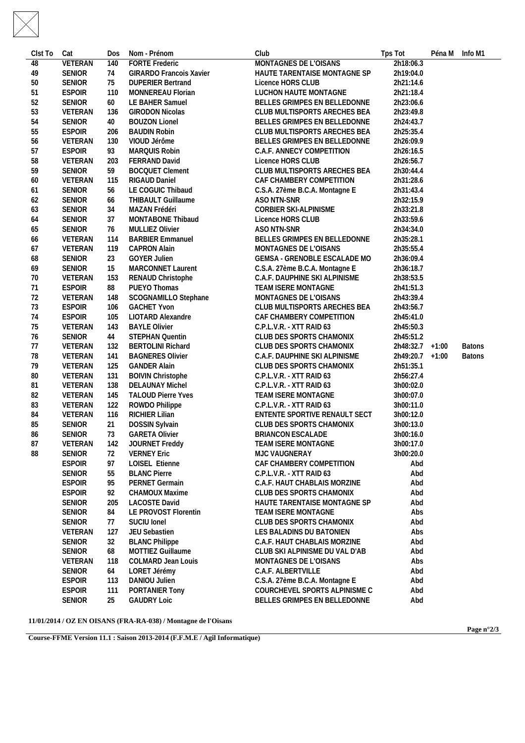| Clst To  | Cat            | Dos | Nom - Prénom                      | Club                                         | Tps Tot                | Péna M Info M1 |               |  |
|----------|----------------|-----|-----------------------------------|----------------------------------------------|------------------------|----------------|---------------|--|
| 48       | <b>VETERAN</b> | 140 | <b>FORTE Frederic</b>             | <b>MONTAGNES DE L'OISANS</b>                 | 2h18:06.3              |                |               |  |
| 49       | <b>SENIOR</b>  | 74  | <b>GIRARDO Francois Xavier</b>    | HAUTE TARENTAISE MONTAGNE SP                 | 2h19:04.0              |                |               |  |
| 50       | <b>SENIOR</b>  | 75  | <b>DUPERIER Bertrand</b>          | Licence HORS CLUB                            | 2h21:14.6              |                |               |  |
| 51       | <b>ESPOIR</b>  | 110 | MONNEREAU Florian                 | LUCHON HAUTE MONTAGNE                        | 2h21:18.4              |                |               |  |
| 52       | <b>SENIOR</b>  | 60  | LE BAHER Samuel                   | BELLES GRIMPES EN BELLEDONNE                 | 2h23:06.6              |                |               |  |
| 53       | VETERAN        | 136 | <b>GIRODON Nicolas</b>            | CLUB MULTISPORTS ARECHES BEA                 | 2h23:49.8              |                |               |  |
| 54       | <b>SENIOR</b>  | 40  | <b>BOUZON Lionel</b>              | BELLES GRIMPES EN BELLEDONNE                 | 2h24:43.7              |                |               |  |
| 55       | <b>ESPOIR</b>  | 206 | <b>BAUDIN Robin</b>               | CLUB MULTISPORTS ARECHES BEA                 | 2h25:35.4              |                |               |  |
| 56       | VETERAN        | 130 | VIOUD Jérôme                      | BELLES GRIMPES EN BELLEDONNE                 | 2h26:09.9              |                |               |  |
| 57       | <b>ESPOIR</b>  | 93  | MARQUIS Robin                     | C.A.F. ANNECY COMPETITION                    | 2h26:16.5              |                |               |  |
| 58       | VETERAN        | 203 | FERRAND David                     | Licence HORS CLUB                            | 2h26:56.7              |                |               |  |
| 59       | <b>SENIOR</b>  | 59  | <b>BOCQUET Clement</b>            | CLUB MULTISPORTS ARECHES BEA                 | 2h30:44.4              |                |               |  |
| 60       | VETERAN        | 115 | RIGAUD Daniel                     | CAF CHAMBERY COMPETITION                     | 2h31:28.6              |                |               |  |
| 61       | <b>SENIOR</b>  | 56  | LE COGUIC Thibaud                 | C.S.A. 27ème B.C.A. Montagne E               | 2h31:43.4              |                |               |  |
| 62       | <b>SENIOR</b>  | 66  | THIBAULT Guillaume                | ASO NTN-SNR                                  | 2h32:15.9              |                |               |  |
| 63       | <b>SENIOR</b>  | 34  | MAZAN Frédéri                     | CORBIER SKI-ALPINISME                        | 2h33:21.8              |                |               |  |
| 64       | <b>SENIOR</b>  | 37  | MONTABONE Thibaud                 | Licence HORS CLUB                            | 2h33:59.6              |                |               |  |
|          | SENIOR         | 76  | <b>MULLIEZ Olivier</b>            | ASO NTN-SNR                                  | 2h34:34.0              |                |               |  |
| 65       | VETERAN        | 114 | <b>BARBIER Emmanuel</b>           | BELLES GRIMPES EN BELLEDONNE                 | 2h35:28.1              |                |               |  |
| 66<br>67 | VETERAN        | 119 | CAPRON Alain                      | MONTAGNES DE L'OISANS                        | 2h35:55.4              |                |               |  |
|          | SENIOR         | 23  | <b>GOYER Julien</b>               | GEMSA - GRENOBLE ESCALADE MO                 | 2h36:09.4              |                |               |  |
| 68<br>69 | <b>SENIOR</b>  | 15  | MARCONNET Laurent                 | C.S.A. 27ème B.C.A. Montagne E               | 2h36:18.7              |                |               |  |
|          | VETERAN        | 153 |                                   | C.A.F. DAUPHINE SKI ALPINISME                |                        |                |               |  |
| 70       | <b>ESPOIR</b>  | 88  | RENAUD Christophe<br>PUEYO Thomas |                                              | 2h38:53.5              |                |               |  |
| 71       | VETERAN        |     |                                   | TEAM ISERE MONTAGNE<br>MONTAGNES DE L'OISANS | 2h41:51.3<br>2h43:39.4 |                |               |  |
| 72       |                | 148 | SCOGNAMILLO Stephane              |                                              |                        |                |               |  |
| 73       | <b>ESPOIR</b>  | 106 | <b>GACHET Yvon</b>                | CLUB MULTISPORTS ARECHES BEA                 | 2h43:56.7              |                |               |  |
| 74       | <b>ESPOIR</b>  | 105 | LIOTARD Alexandre                 | CAF CHAMBERY COMPETITION                     | 2h45:41.0              |                |               |  |
| 75       | VETERAN        | 143 | <b>BAYLE Olivier</b>              | C.P.L.V.R. - XTT RAID 63                     | 2h45:50.3              |                |               |  |
| 76       | SENIOR         | 44  | STEPHAN Quentin                   | CLUB DES SPORTS CHAMONIX                     | 2h45:51.2              |                |               |  |
| 77       | VETERAN        | 132 | <b>BERTOLINI Richard</b>          | CLUB DES SPORTS CHAMONIX                     | 2h48:32.7 +1:00        |                | <b>Batons</b> |  |
| 78       | VETERAN        | 141 | <b>BAGNERES Olivier</b>           | C.A.F. DAUPHINE SKI ALPINISME                | 2h49:20.7 +1:00        |                | <b>Batons</b> |  |
| 79       | VETERAN        | 125 | <b>GANDER Alain</b>               | CLUB DES SPORTS CHAMONIX                     | 2h51:35.1              |                |               |  |
| 80       | VETERAN        | 131 | <b>BOIVIN Christophe</b>          | C.P.L.V.R. - XTT RAID 63                     | 2h56:27.4              |                |               |  |
| -81      | VETERAN        | 138 | <b>DELAUNAY Michel</b>            | C.P.L.V.R. - XTT RAID 63                     | 3h00:02.0              |                |               |  |
| 82       | VETERAN        | 145 | <b>TALOUD Pierre Yves</b>         | TEAM ISERE MONTAGNE                          | 3h00:07.0              |                |               |  |
| 83       | VETERAN        | 122 | ROWDO Philippe                    | C.P.L.V.R. - XTT RAID 63                     | 3h00:11.0              |                |               |  |
| 84       | VETERAN        | 116 | RICHIER Lilian                    | ENTENTE SPORTIVE RENAULT SECT                | 3h00:12.0              |                |               |  |
| 85       | <b>SENIOR</b>  | 21  | DOSSIN Sylvain                    | CLUB DES SPORTS CHAMONIX                     | 3h00:13.0              |                |               |  |
| 86       | <b>SENIOR</b>  | 73  | <b>GARETA Olivier</b>             | BRIANCON ESCALADE                            | 3h00:16.0              |                |               |  |
| 87       | VETERAN        | 142 | JOURNET Freddy                    | TEAM ISERE MONTAGNE                          | 3h00:17.0              |                |               |  |
| 88       | <b>SENIOR</b>  | 72  | <b>VERNEY Eric</b>                | MJC VAUGNERAY                                | 3h00:20.0              |                |               |  |
|          | <b>ESPOIR</b>  | 97  | LOISEL Etienne                    | CAF CHAMBERY COMPETITION                     | Abd                    |                |               |  |
|          | <b>SENIOR</b>  | 55  | <b>BLANC Pierre</b>               | C.P.L.V.R. - XTT RAID 63                     | Abd                    |                |               |  |
|          | <b>ESPOIR</b>  | 95  | PERNET Germain                    | C.A.F. HAUT CHABLAIS MORZINE                 | Abd                    |                |               |  |
|          | <b>ESPOIR</b>  | 92  | <b>CHAMOUX Maxime</b>             | CLUB DES SPORTS CHAMONIX                     | Abd                    |                |               |  |
|          | SENIOR         | 205 | <b>LACOSTE David</b>              | HAUTE TARENTAISE MONTAGNE SP                 | Abd                    |                |               |  |
|          | <b>SENIOR</b>  | 84  | LE PROVOST Florentin              | TEAM ISERE MONTAGNE                          | Abs                    |                |               |  |
|          | <b>SENIOR</b>  | 77  | SUCIU Ionel                       | CLUB DES SPORTS CHAMONIX                     | Abd                    |                |               |  |
|          | VETERAN        | 127 | JEU Sebastien                     | LES BALADINS DU BATONIEN                     | Abs                    |                |               |  |
|          | SENIOR         | 32  | <b>BLANC Philippe</b>             | C.A.F. HAUT CHABLAIS MORZINE                 | Abd                    |                |               |  |
|          | SENIOR         | 68  | MOTTIEZ Guillaume                 | CLUB SKI ALPINISME DU VAL D'AB               | Abd                    |                |               |  |
|          | VETERAN        | 118 | <b>COLMARD Jean Louis</b>         | MONTAGNES DE L'OISANS                        | Abs                    |                |               |  |
|          | <b>SENIOR</b>  | 64  | LORET Jérémy                      | C.A.F. ALBERTVILLE                           | Abd                    |                |               |  |
|          | <b>ESPOIR</b>  | 113 | DANIOU Julien                     | C.S.A. 27ème B.C.A. Montagne E               | Abd                    |                |               |  |
|          | <b>ESPOIR</b>  | 111 | PORTANIER Tony                    | COURCHEVEL SPORTS ALPINISME C                | Abd                    |                |               |  |
|          | <b>SENIOR</b>  | 25  | <b>GAUDRY Loic</b>                | BELLES GRIMPES EN BELLEDONNE                 | Abd                    |                |               |  |

**11/01/2014 / OZ EN OISANS (FRA-RA-038) / Montagne de l'Oisans**

**Course-FFME Version 11.1 : Saison 2013-2014 (F.F.M.E / Agil Informatique)**

**Page n°2/3**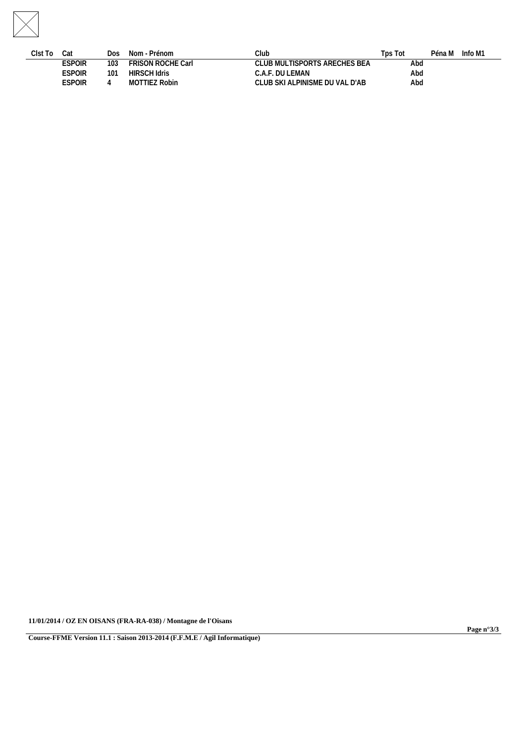

| Clst To | Cat           | Dos | Nom - Prénom             | Club                            | Tps Tot |     | Péna M | Info M1 |  |
|---------|---------------|-----|--------------------------|---------------------------------|---------|-----|--------|---------|--|
|         | <b>ESPOIR</b> | 103 | <b>FRISON ROCHE Carl</b> | CLUB MULTISPORTS ARECHES BEA    |         | Abd |        |         |  |
|         | ESPOIR        | 101 | HIRSCH Idris             | C.A.F. DU LEMAN                 |         | Abd |        |         |  |
|         | ESPOIR        |     | MOTTIEZ Robin            | CLUB SKI ALPINISME DU VAL D'AB- |         | Abd |        |         |  |
|         |               |     |                          |                                 |         |     |        |         |  |

**11/01/2014 / OZ EN OISANS (FRA-RA-038) / Montagne de l'Oisans**

**Course-FFME Version 11.1 : Saison 2013-2014 (F.F.M.E / Agil Informatique)**

**Page n°3/3**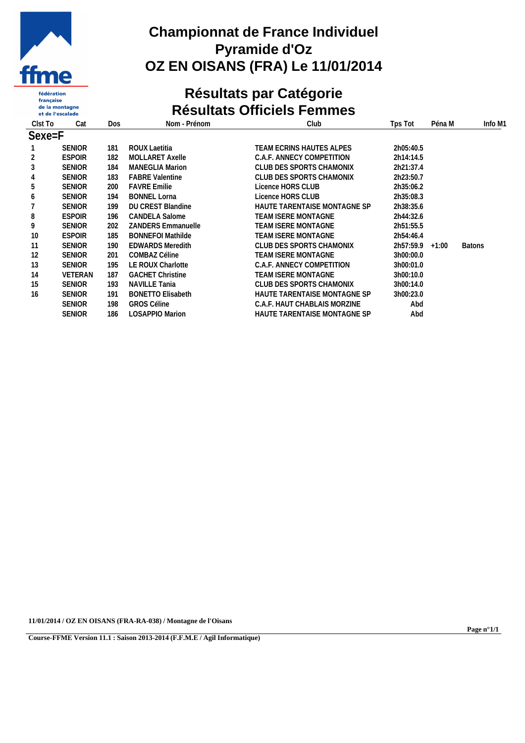

fédération française<br>de la montagne et de l'escalade

# **Championnat de France Individuel Pyramide d'Oz OZ EN OISANS (FRA) Le 11/01/2014**

# **Résultats par Catégorie Résultats Officiels Femmes**

| Clst To | Cat            | Dos | Nom - Prénom              | Club                         | Tps Tot           | Péna M | Info M1       |
|---------|----------------|-----|---------------------------|------------------------------|-------------------|--------|---------------|
| Sexe=F  |                |     |                           |                              |                   |        |               |
|         | <b>SENIOR</b>  | 181 | ROUX Laetitia             | TEAM ECRINS HAUTES ALPES     | 2h05:40.5         |        |               |
| 2       | <b>ESPOIR</b>  | 182 | <b>MOLLARET Axelle</b>    | C.A.F. ANNECY COMPETITION    | 2h14:14.5         |        |               |
| 3       | <b>SENIOR</b>  | 184 | <b>MANEGLIA Marion</b>    | CLUB DES SPORTS CHAMONIX     | 2h21:37.4         |        |               |
| 4       | <b>SENIOR</b>  | 183 | <b>FABRE Valentine</b>    | CLUB DES SPORTS CHAMONIX     | 2h23:50.7         |        |               |
| 5       | <b>SENIOR</b>  | 200 | <b>FAVRE Emilie</b>       | Licence HORS CLUB            | 2h35:06.2         |        |               |
| 6       | <b>SENIOR</b>  | 194 | <b>BONNEL Lorna</b>       | Licence HORS CLUB            | 2h35:08.3         |        |               |
|         | <b>SENIOR</b>  | 199 | <b>DU CREST Blandine</b>  | HAUTE TARENTAISE MONTAGNE SP | 2h38:35.6         |        |               |
| 8       | <b>ESPOIR</b>  | 196 | <b>CANDELA Salome</b>     | TEAM ISERE MONTAGNE          | 2h44:32.6         |        |               |
| 9       | <b>SENIOR</b>  | 202 | <b>ZANDERS Emmanuelle</b> | TEAM ISERE MONTAGNE          | 2h51:55.5         |        |               |
| 10      | <b>ESPOIR</b>  | 185 | <b>BONNEFOI Mathilde</b>  | TEAM ISERE MONTAGNE          | 2h54:46.4         |        |               |
| 11      | <b>SENIOR</b>  | 190 | <b>EDWARDS Meredith</b>   | CLUB DES SPORTS CHAMONIX     | $2h57:59.9$ +1:00 |        | <b>Batons</b> |
| 12      | <b>SENIOR</b>  | 201 | COMBAZ Céline             | TEAM ISERE MONTAGNE          | 3h00:00.0         |        |               |
| 13      | <b>SENIOR</b>  | 195 | LE ROUX Charlotte         | C.A.F. ANNECY COMPETITION    | 3h00:01.0         |        |               |
| 14      | <b>VETERAN</b> | 187 | <b>GACHET Christine</b>   | <b>TEAM ISERE MONTAGNE</b>   | 3h00:10.0         |        |               |
| 15      | <b>SENIOR</b>  | 193 | NAVILLE Tania             | CLUB DES SPORTS CHAMONIX     | 3h00:14.0         |        |               |
| 16      | <b>SENIOR</b>  | 191 | <b>BONETTO Elisabeth</b>  | HAUTE TARENTAISE MONTAGNE SP | 3h00:23.0         |        |               |
|         | <b>SENIOR</b>  | 198 | <b>GROS Céline</b>        | C.A.F. HAUT CHABLAIS MORZINE | Abd               |        |               |
|         | <b>SENIOR</b>  | 186 | <b>LOSAPPIO Marion</b>    | HAUTE TARENTAISE MONTAGNE SP | Abd               |        |               |

**11/01/2014 / OZ EN OISANS (FRA-RA-038) / Montagne de l'Oisans**

**Course-FFME Version 11.1 : Saison 2013-2014 (F.F.M.E / Agil Informatique)**

**Page n°1/1**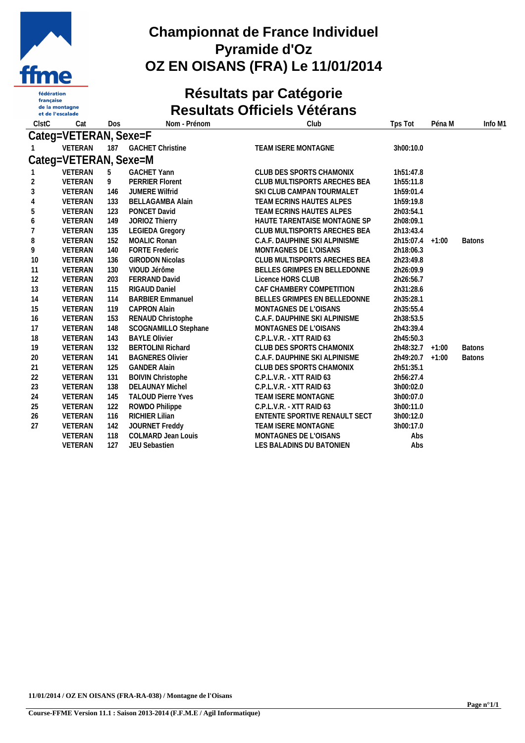

française<br>de la montagne et de l'escalade

# **Championnat de France Individuel Pyramide d'Oz OZ EN OISANS (FRA) Le 11/01/2014**

# **Résultats par Catégorie Resultats Officiels Vétérans**

| <b>CIstC</b> | Cat                   | Dos | Nom - Prénom              | Club                          | Tps Tot         | Péna M | Info M1       |
|--------------|-----------------------|-----|---------------------------|-------------------------------|-----------------|--------|---------------|
|              | Categ=VETERAN, Sexe=F |     |                           |                               |                 |        |               |
|              | VETERAN               |     | 187 GACHET Christine      | TEAM ISERE MONTAGNE           | 3h00:10.0       |        |               |
|              | Categ=VETERAN, Sexe=M |     |                           |                               |                 |        |               |
|              | VETERAN               | 5   | <b>GACHET Yann</b>        | CLUB DES SPORTS CHAMONIX      | 1h51:47.8       |        |               |
| 2            | VETERAN               | 9   | <b>PERRIER Florent</b>    | CLUB MULTISPORTS ARECHES BEA  | 1h55:11.8       |        |               |
| 3            | VETERAN               | 146 | <b>JUMERE Wilfrid</b>     | SKI CLUB CAMPAN TOURMALET     | 1h59:01.4       |        |               |
| 4            | VETERAN               | 133 | <b>BELLAGAMBA Alain</b>   | TEAM ECRINS HAUTES ALPES      | 1h59:19.8       |        |               |
| 5            | VETERAN               | 123 | PONCET David              | TEAM ECRINS HAUTES ALPES      | 2h03:54.1       |        |               |
| 6            | VETERAN               | 149 | JORIOZ Thierry            | HAUTE TARENTAISE MONTAGNE SP  | 2h08:09.1       |        |               |
|              | VETERAN               | 135 | <b>LEGIEDA Gregory</b>    | CLUB MULTISPORTS ARECHES BEA  | 2h13:43.4       |        |               |
| 8            | VETERAN               | 152 | <b>MOALIC Ronan</b>       | C.A.F. DAUPHINE SKI ALPINISME | 2h15:07.4 +1:00 |        | <b>Batons</b> |
| 9            | VETERAN               | 140 | <b>FORTE Frederic</b>     | MONTAGNES DE L'OISANS         | 2h18:06.3       |        |               |
| 10           | VETERAN               | 136 | <b>GIRODON Nicolas</b>    | CLUB MULTISPORTS ARECHES BEA  | 2h23:49.8       |        |               |
| 11           | VETERAN               | 130 | VIOUD Jérôme              | BELLES GRIMPES EN BELLEDONNE  | 2h26:09.9       |        |               |
| 12           | VETERAN               | 203 | FERRAND David             | Licence HORS CLUB             | 2h26:56.7       |        |               |
| 13           | VETERAN               | 115 | RIGAUD Daniel             | CAF CHAMBERY COMPETITION      | 2h31:28.6       |        |               |
| 14           | VETERAN               | 114 | <b>BARBIER Emmanuel</b>   | BELLES GRIMPES EN BELLEDONNE  | 2h35:28.1       |        |               |
| 15           | VETERAN               | 119 | <b>CAPRON Alain</b>       | MONTAGNES DE L'OISANS         | 2h35:55.4       |        |               |
| 16           | VETERAN               | 153 | RENAUD Christophe         | C.A.F. DAUPHINE SKI ALPINISME | 2h38:53.5       |        |               |
| 17           | VETERAN               | 148 | SCOGNAMILLO Stephane      | MONTAGNES DE L'OISANS         | 2h43:39.4       |        |               |
| 18           | VETERAN               | 143 | <b>BAYLE Olivier</b>      | C.P.L.V.R. - XTT RAID 63      | 2h45:50.3       |        |               |
| 19           | VETERAN               | 132 | <b>BERTOLINI Richard</b>  | CLUB DES SPORTS CHAMONIX      | 2h48:32.7 +1:00 |        | <b>Batons</b> |
| 20           | VETERAN               | 141 | <b>BAGNERES Olivier</b>   | C.A.F. DAUPHINE SKI ALPINISME | 2h49:20.7 +1:00 |        | <b>Batons</b> |
| 21           | VETERAN               | 125 | <b>GANDER Alain</b>       | CLUB DES SPORTS CHAMONIX      | 2h51:35.1       |        |               |
| 22           | VETERAN               | 131 | <b>BOIVIN Christophe</b>  | C.P.L.V.R. - XTT RAID 63      | 2h56:27.4       |        |               |
| 23           | VETERAN               | 138 | <b>DELAUNAY Michel</b>    | C.P.L.V.R. - XTT RAID 63      | 3h00:02.0       |        |               |
| 24           | VETERAN               | 145 | <b>TALOUD Pierre Yves</b> | TEAM ISERE MONTAGNE           | 3h00:07.0       |        |               |
| 25           | VETERAN               | 122 | ROWDO Philippe            | C.P.L.V.R. - XTT RAID 63      | 3h00:11.0       |        |               |
| 26           | VETERAN               | 116 | <b>RICHIER Lilian</b>     | ENTENTE SPORTIVE RENAULT SECT | 3h00:12.0       |        |               |
| 27           | <b>VETERAN</b>        | 142 | JOURNET Freddy            | TEAM ISERE MONTAGNE           | 3h00:17.0       |        |               |
|              | VETERAN               | 118 | <b>COLMARD Jean Louis</b> | MONTAGNES DE L'OISANS         | Abs             |        |               |
|              | <b>VETERAN</b>        | 127 | JEU Sebastien             | LES BALADINS DU BATONIEN      | Abs             |        |               |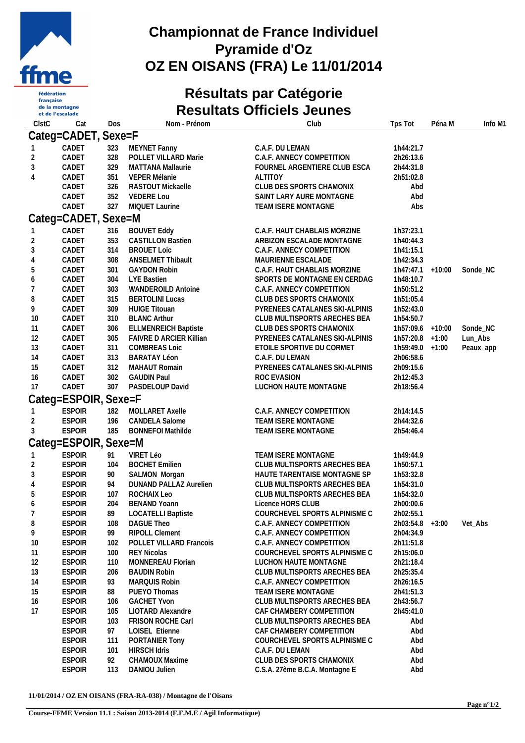

française<br>de la montagne et de l'escalade

## **Championnat de France Individuel Pyramide d'Oz OZ EN OISANS (FRA) Le 11/01/2014**

# **Résultats par Catégorie Resultats Officiels Jeunes**

| ClstC          | Cat                            | Dos        | Nom - Prénom                         | Club                                             | Tps Tot                | Péna M | Info M1   |
|----------------|--------------------------------|------------|--------------------------------------|--------------------------------------------------|------------------------|--------|-----------|
|                | Categ=CADET, Sexe=F            |            |                                      |                                                  |                        |        |           |
|                | CADET                          | 323        | MEYNET Fanny                         | C.A.F. DU LEMAN                                  | 1h44:21.7              |        |           |
| $\overline{2}$ | CADET                          | 328        | POLLET VILLARD Marie                 | C.A.F. ANNECY COMPETITION                        | 2h26:13.6              |        |           |
| 3              | CADET                          | 329        | MATTANA Mallaurie                    | FOURNEL ARGENTIERE CLUB ESCA                     | 2h44:31.8              |        |           |
| 4              | CADET                          | 351        | VEPER Mélanie                        | <b>ALTITOY</b>                                   | 2h51:02.8              |        |           |
|                | CADET                          | 326        | RASTOUT Mickaelle                    | CLUB DES SPORTS CHAMONIX                         | Abd                    |        |           |
|                | CADET                          | 352        | <b>VEDERE Lou</b>                    | SAINT LARY AURE MONTAGNE                         | Abd                    |        |           |
|                | CADET                          | 327        | MIQUET Laurine                       | TEAM ISERE MONTAGNE                              | Abs                    |        |           |
|                | Categ=CADET, Sexe=M            |            |                                      |                                                  |                        |        |           |
|                | CADET                          | 316        | <b>BOUVET Eddy</b>                   | C.A.F. HAUT CHABLAIS MORZINE                     | 1h37:23.1              |        |           |
| 2              | CADET                          | 353        | <b>CASTILLON Bastien</b>             | ARBIZON ESCALADE MONTAGNE                        | 1h40:44.3              |        |           |
| 3              | CADET                          | 314        | <b>BROUET Loic</b>                   | C.A.F. ANNECY COMPETITION                        | 1h41:15.1              |        |           |
| 4              | CADET                          | 308        | <b>ANSELMET Thibault</b>             | MAURIENNE ESCALADE                               | 1h42:34.3              |        |           |
| 5              | CADET                          | 301        | <b>GAYDON Robin</b>                  | C.A.F. HAUT CHABLAIS MORZINE                     | $1h47:47.1 + 10:00$    |        | Sonde_NC  |
| 6              | CADET                          | 304        | LYE Bastien                          | SPORTS DE MONTAGNE EN CERDAG                     | 1h48:10.7              |        |           |
|                | CADET                          | 303        | WANDEROILD Antoine                   | C.A.F. ANNECY COMPETITION                        | 1h50:51.2              |        |           |
| 8              | CADET                          | 315        | <b>BERTOLINI Lucas</b>               | CLUB DES SPORTS CHAMONIX                         | 1h51:05.4              |        |           |
| 9              | CADET                          | 309        | <b>HUIGE Titouan</b>                 | PYRENEES CATALANES SKI-ALPINIS                   | 1h52:43.0              |        |           |
| 10             | CADET                          | 310        | <b>BLANC Arthur</b>                  | CLUB MULTISPORTS ARECHES BEA                     | 1h54:50.7              |        |           |
| 11             | CADET                          | 306        | <b>ELLMENREICH Baptiste</b>          | CLUB DES SPORTS CHAMONIX                         | 1h57:09.6 +10:00       |        | Sonde_NC  |
| 12             | CADET                          | 305        | FAIVRE D ARCIER Killian              | PYRENEES CATALANES SKI-ALPINIS                   | $1h57:20.8$ +1:00      |        | Lun_Abs   |
| 13             | CADET                          | 311        | <b>COMBREAS Loic</b>                 | ETOILE SPORTIVE DU CORMET                        | 1h59:49.0 +1:00        |        | Peaux_app |
| 14             | CADET                          | 313        | <b>BARATAY Léon</b><br>MAHAUT Romain | C.A.F. DU LEMAN                                  | 2h06:58.6              |        |           |
| 15<br>16       | CADET<br>CADET                 | 312<br>302 | <b>GAUDIN Paul</b>                   | PYRENEES CATALANES SKI-ALPINIS<br>ROC EVASION    | 2h09:15.6<br>2h12:45.3 |        |           |
| 17             | CADET                          | 307        | PASDELOUP David                      | LUCHON HAUTE MONTAGNE                            | 2h18:56.4              |        |           |
|                |                                |            |                                      |                                                  |                        |        |           |
|                | Categ=ESPOIR, Sexe=F           |            |                                      |                                                  |                        |        |           |
|                | <b>ESPOIR</b>                  | 182        | MOLLARET Axelle                      | C.A.F. ANNECY COMPETITION                        | 2h14:14.5              |        |           |
| $\overline{2}$ | <b>ESPOIR</b>                  | 196        | <b>CANDELA Salome</b>                | TEAM ISERE MONTAGNE                              | 2h44:32.6              |        |           |
| 3              | <b>ESPOIR</b>                  | 185        | <b>BONNEFOI Mathilde</b>             | TEAM ISERE MONTAGNE                              | 2h54:46.4              |        |           |
|                | Categ=ESPOIR, Sexe=M           |            |                                      |                                                  |                        |        |           |
|                | <b>ESPOIR</b>                  | 91         | VIRET Léo                            | TEAM ISERE MONTAGNE                              | 1h49:44.9              |        |           |
| $\overline{2}$ | <b>ESPOIR</b>                  | 104        | <b>BOCHET Emilien</b>                | CLUB MULTISPORTS ARECHES BEA                     | 1h50:57.1              |        |           |
| 3              | <b>ESPOIR</b>                  | 90         | SALMON Morgan                        | HAUTE TARENTAISE MONTAGNE SP                     | 1h53:32.8              |        |           |
| 4              | <b>ESPOIR</b>                  | 94         | DUNAND PALLAZ Aurelien               | CLUB MULTISPORTS ARECHES BEA                     | 1h54:31.0              |        |           |
| 5              | <b>ESPOIR</b>                  | 107        | ROCHAIX Leo                          | CLUB MULTISPORTS ARECHES BEA                     | 1h54:32.0              |        |           |
| 6              | <b>ESPOIR</b>                  | 204        | <b>BENAND Yoann</b>                  | Licence HORS CLUB                                | 2h00:00.6              |        |           |
|                | <b>ESPOIR</b>                  | 89         | <b>LOCATELLI Baptiste</b>            | COURCHEVEL SPORTS ALPINISME C                    | 2h02:55.1              |        |           |
| 8              | <b>ESPOIR</b>                  | 108        | DAGUE Theo                           | C.A.F. ANNECY COMPETITION                        | $2h03:54.8$ +3:00      |        | Vet_Abs   |
| 9              | <b>ESPOIR</b>                  | 99         | <b>RIPOLL Clement</b>                | C.A.F. ANNECY COMPETITION                        | 2h04:34.9              |        |           |
| 10             | <b>ESPOIR</b>                  | 102        | POLLET VILLARD Francois              | C.A.F. ANNECY COMPETITION                        | 2h11:51.8              |        |           |
| 11             | <b>ESPOIR</b>                  | 100        | <b>REY Nicolas</b>                   | COURCHEVEL SPORTS ALPINISME C                    | 2h15:06.0              |        |           |
| 12             | <b>ESPOIR</b>                  | 110        | MONNEREAU Florian                    | LUCHON HAUTE MONTAGNE                            | 2h21:18.4              |        |           |
| 13             | <b>ESPOIR</b>                  | 206        | <b>BAUDIN Robin</b>                  | CLUB MULTISPORTS ARECHES BEA                     | 2h25:35.4              |        |           |
| 14<br>15       | <b>ESPOIR</b><br><b>ESPOIR</b> | 93<br>88   | <b>MARQUIS Robin</b><br>PUEYO Thomas | C.A.F. ANNECY COMPETITION<br>TEAM ISERE MONTAGNE | 2h26:16.5<br>2h41:51.3 |        |           |
| 16             | <b>ESPOIR</b>                  | 106        | <b>GACHET Yvon</b>                   | CLUB MULTISPORTS ARECHES BEA                     | 2h43:56.7              |        |           |
| 17             | <b>ESPOIR</b>                  | 105        | LIOTARD Alexandre                    | CAF CHAMBERY COMPETITION                         | 2h45:41.0              |        |           |
|                | <b>ESPOIR</b>                  | 103        | <b>FRISON ROCHE Carl</b>             | CLUB MULTISPORTS ARECHES BEA                     | Abd                    |        |           |
|                | <b>ESPOIR</b>                  | 97         | LOISEL Etienne                       | CAF CHAMBERY COMPETITION                         | Abd                    |        |           |
|                | <b>ESPOIR</b>                  | 111        | PORTANIER Tony                       | COURCHEVEL SPORTS ALPINISME C                    | Abd                    |        |           |
|                | <b>ESPOIR</b>                  | 101        | <b>HIRSCH Idris</b>                  | C.A.F. DU LEMAN                                  | Abd                    |        |           |
|                | <b>ESPOIR</b>                  | 92         | CHAMOUX Maxime                       | CLUB DES SPORTS CHAMONIX                         | Abd                    |        |           |
|                | <b>ESPOIR</b>                  | 113        | DANIOU Julien                        | C.S.A. 27ème B.C.A. Montagne E                   | Abd                    |        |           |
|                |                                |            |                                      |                                                  |                        |        |           |

**11/01/2014 / OZ EN OISANS (FRA-RA-038) / Montagne de l'Oisans**